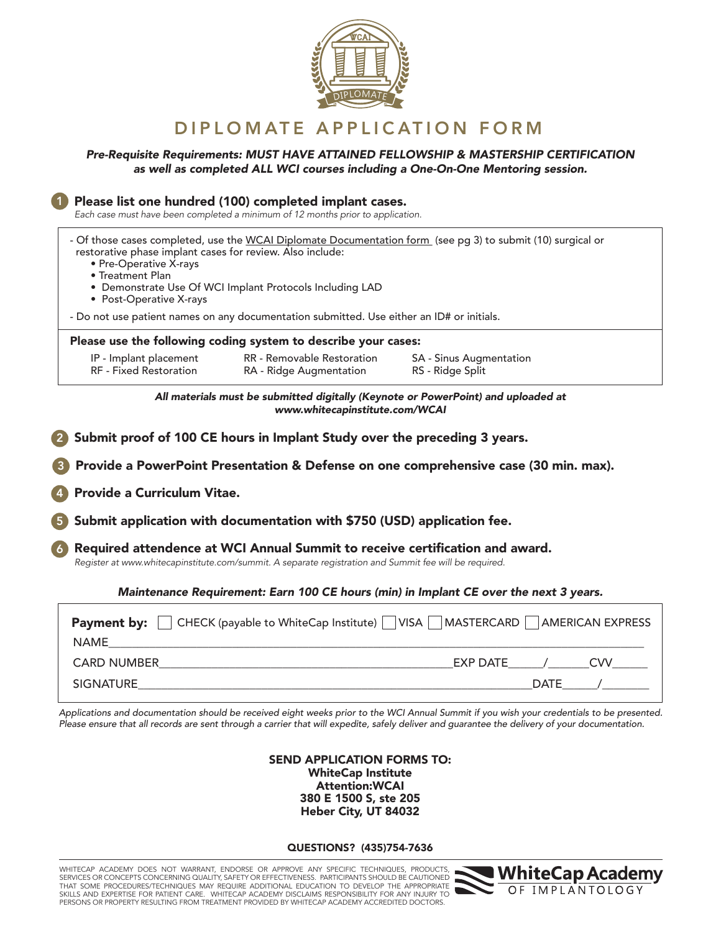

#### DIPLOMATE APPLICATION FORM

#### *Pre-Requisite Requirements: MUST HAVE ATTAINED FELLOWSHIP & MASTERSHIP CERTIFICATION as well as completed ALL WCI courses including a One-On-One Mentoring session.*

|                                                                                                                                    | Please list one hundred (100) completed implant cases.<br>Each case must have been completed a minimum of 12 months prior to application.                                              |                                             |                |  |  |  |  |  |
|------------------------------------------------------------------------------------------------------------------------------------|----------------------------------------------------------------------------------------------------------------------------------------------------------------------------------------|---------------------------------------------|----------------|--|--|--|--|--|
| restorative phase implant cases for review. Also include:<br>• Pre-Operative X-rays<br>• Treatment Plan<br>• Post-Operative X-rays | - Of those cases completed, use the WCAI Diplomate Documentation form (see pg 3) to submit (10) surgical or<br>• Demonstrate Use Of WCI Implant Protocols Including LAD                |                                             |                |  |  |  |  |  |
|                                                                                                                                    | - Do not use patient names on any documentation submitted. Use either an ID# or initials.                                                                                              |                                             |                |  |  |  |  |  |
| Please use the following coding system to describe your cases:                                                                     |                                                                                                                                                                                        |                                             |                |  |  |  |  |  |
| IP - Implant placement<br>RF - Fixed Restoration                                                                                   | RR - Removable Restoration<br>RA - Ridge Augmentation                                                                                                                                  | SA - Sinus Augmentation<br>RS - Ridge Split |                |  |  |  |  |  |
|                                                                                                                                    | All materials must be submitted digitally (Keynote or PowerPoint) and uploaded at<br>www.whitecapinstitute.com/WCAI                                                                    |                                             |                |  |  |  |  |  |
|                                                                                                                                    | Submit proof of 100 CE hours in Implant Study over the preceding 3 years.                                                                                                              |                                             |                |  |  |  |  |  |
|                                                                                                                                    | Provide a PowerPoint Presentation & Defense on one comprehensive case (30 min. max).                                                                                                   |                                             |                |  |  |  |  |  |
| Provide a Curriculum Vitae.                                                                                                        |                                                                                                                                                                                        |                                             |                |  |  |  |  |  |
|                                                                                                                                    | Submit application with documentation with \$750 (USD) application fee.                                                                                                                |                                             |                |  |  |  |  |  |
|                                                                                                                                    | Required attendence at WCI Annual Summit to receive certification and award.<br>Register at www.whitecapinstitute.com/summit. A separate registration and Summit fee will be required. |                                             |                |  |  |  |  |  |
| Maintenance Requirement: Earn 100 CE hours (min) in Implant CE over the next 3 years.                                              |                                                                                                                                                                                        |                                             |                |  |  |  |  |  |
| <b>NAME</b>                                                                                                                        | Payment by: $\Box$ CHECK (payable to WhiteCap Institute) NISA MASTERCARD AMERICAN EXPRESS                                                                                              |                                             |                |  |  |  |  |  |
|                                                                                                                                    | CARD NUMBER <b>EXAMPLE 2008</b>                                                                                                                                                        |                                             | EXP DATE / CVV |  |  |  |  |  |
| <b>SIGNATURE</b>                                                                                                                   |                                                                                                                                                                                        |                                             | DATE /         |  |  |  |  |  |

*Applications and documentation should be received eight weeks prior to the WCI Annual Summit if you wish your credentials to be presented. Please ensure that all records are sent through a carrier that will expedite, safely deliver and guarantee the delivery of your documentation.*

> SEND APPLICATION FORMS TO: WhiteCap Institute Attention:WCAI 380 E 1500 S, ste 205 Heber City, UT 84032

QUESTIONS? (435)754-7636

WHITECAP ACADEMY DOES NOT WARRANT, ENDORSE OR APPROVE ANY SPECIFIC TECHNIQUES, PRODUCTS, SERVICES OR CONCEPTS CONCERNING QUALITY, SAFETY OR EFFECTIVENESS. PARTICIPANTS SHOULD BE CAUTIONED<br>THAT SOME PROCEDURES/TECHNIQUES MAY REQUIRE ADDITIONAL EDUCATION TO DEVELOP THE APPROPRIATE SKILLS AND EXPERTISE FOR PATIENT CARE. WHITECAP ACADEMY DISCLAIMS RESPONSIBILITY FOR ANY INJURY TO PERSONS OR PROPERTY RESULTING FROM TREATMENT PROVIDED BY WHITECAP ACADEMY ACCREDITED DOCTORS.

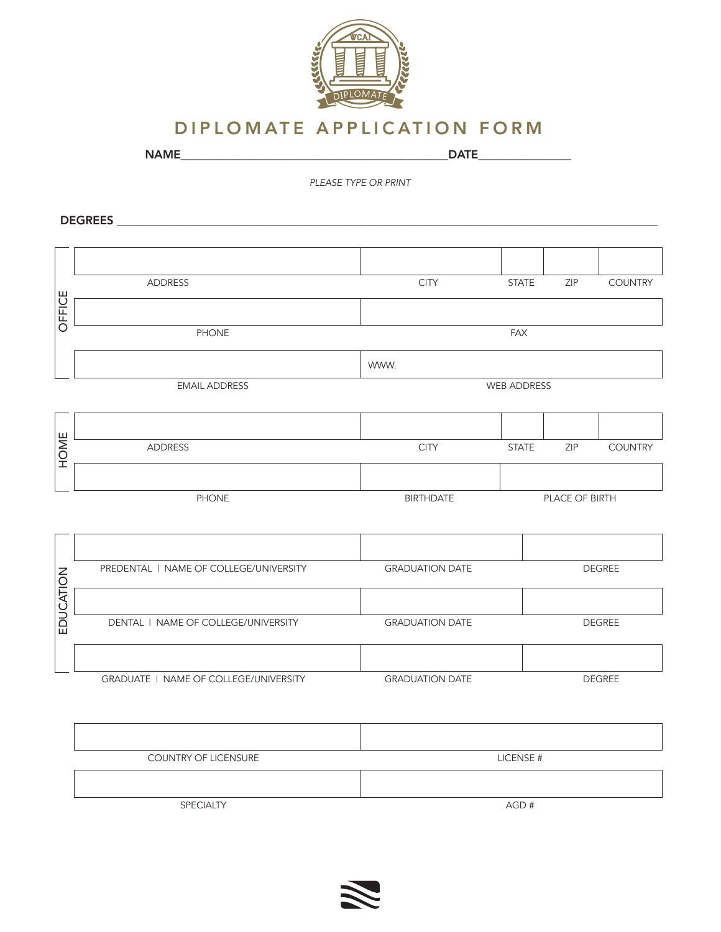

#### DIPLOMATE APPLICATION FORM

NAME\_\_\_\_\_\_\_\_\_\_\_\_\_\_\_\_\_\_\_\_\_\_\_\_\_\_\_\_\_\_\_\_\_\_\_\_\_\_\_\_\_\_\_\_\_\_DATE\_\_\_\_\_\_\_\_\_\_\_\_\_\_\_\_

*PLEASE TYPE OR PRINT*

DEGREES \_\_\_\_\_\_\_\_\_\_\_\_\_\_\_\_\_\_\_\_\_\_\_\_\_\_\_\_\_\_\_\_\_\_\_\_\_\_\_\_\_\_\_\_\_\_\_\_\_\_\_\_\_\_\_\_\_\_\_\_\_\_\_\_\_\_\_\_\_\_\_\_\_\_\_\_\_\_\_\_\_\_\_\_\_\_\_\_\_\_\_\_\_

|           | <b>ADDRESS</b>                               | <b>CITY</b>                             | <b>STATE</b>       | ZIP            | <b>COUNTRY</b> |  |  |  |  |
|-----------|----------------------------------------------|-----------------------------------------|--------------------|----------------|----------------|--|--|--|--|
| OFFICE    |                                              |                                         |                    |                |                |  |  |  |  |
|           | <b>PHONE</b>                                 |                                         | <b>FAX</b>         |                |                |  |  |  |  |
|           |                                              | WWW.                                    |                    |                |                |  |  |  |  |
|           | <b>EMAIL ADDRESS</b>                         |                                         | <b>WEB ADDRESS</b> |                |                |  |  |  |  |
|           |                                              |                                         |                    |                |                |  |  |  |  |
|           |                                              |                                         |                    |                |                |  |  |  |  |
| HOME      | <b>ADDRESS</b>                               | <b>CITY</b>                             | <b>STATE</b>       | ZIP            | <b>COUNTRY</b> |  |  |  |  |
|           |                                              |                                         |                    |                |                |  |  |  |  |
|           | <b>PHONE</b>                                 | <b>BIRTHDATE</b>                        |                    | PLACE OF BIRTH |                |  |  |  |  |
|           |                                              |                                         |                    |                |                |  |  |  |  |
|           |                                              |                                         |                    |                |                |  |  |  |  |
|           | PREDENTAL   NAME OF COLLEGE/UNIVERSITY       | <b>GRADUATION DATE</b><br><b>DEGREE</b> |                    |                |                |  |  |  |  |
| EDUCATION |                                              |                                         |                    |                |                |  |  |  |  |
|           | DENTAL   NAME OF COLLEGE/UNIVERSITY          | <b>GRADUATION DATE</b><br><b>DEGREE</b> |                    |                |                |  |  |  |  |
|           |                                              |                                         |                    |                |                |  |  |  |  |
|           | <b>GRADUATE   NAME OF COLLEGE/UNIVERSITY</b> | <b>GRADUATION DATE</b>                  |                    |                | <b>DEGREE</b>  |  |  |  |  |

| <b>COUNTRY OF LICENSURE</b> | LICENSE # |
|-----------------------------|-----------|
|                             |           |
| SPECIALTY                   | AGD#      |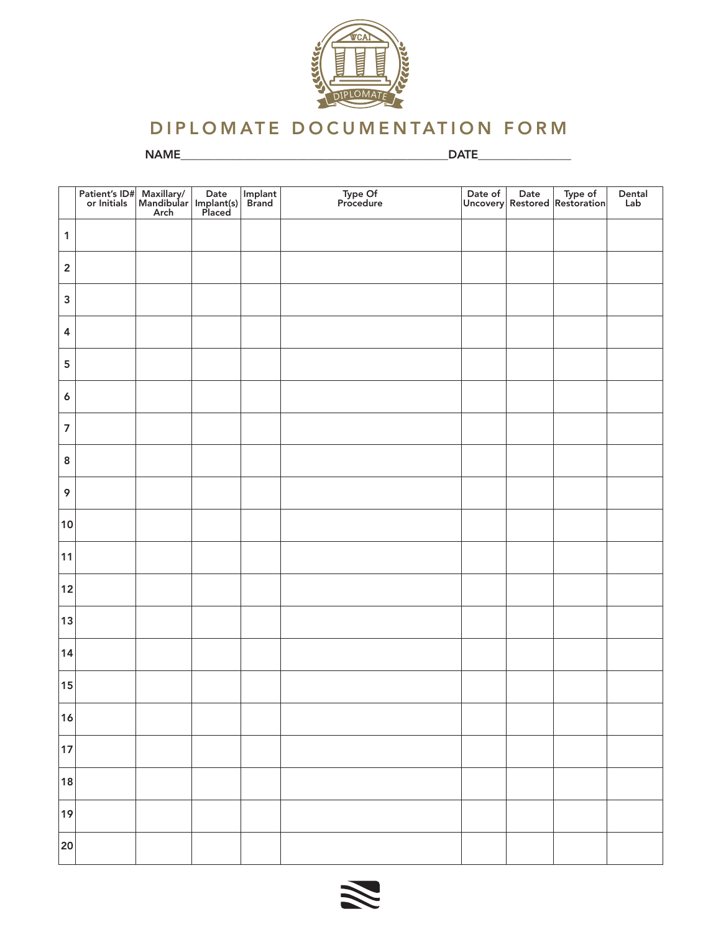

|                         | Patient's ID# Maxillary/ Date Implant<br>or Initials Mandibular Implant(s) Brand<br>Arch Placed |  | Type Of<br>Procedure |  | Date of Date Type of<br>Uncovery Restored Restoration | Dental<br>Lab |
|-------------------------|-------------------------------------------------------------------------------------------------|--|----------------------|--|-------------------------------------------------------|---------------|
| $\mathbf{1}$            |                                                                                                 |  |                      |  |                                                       |               |
| $\mathbf 2$             |                                                                                                 |  |                      |  |                                                       |               |
| $\mathbf{3}$            |                                                                                                 |  |                      |  |                                                       |               |
| $\overline{\mathbf{4}}$ |                                                                                                 |  |                      |  |                                                       |               |
| $\overline{5}$          |                                                                                                 |  |                      |  |                                                       |               |
| $\pmb{6}$               |                                                                                                 |  |                      |  |                                                       |               |
| $\overline{7}$          |                                                                                                 |  |                      |  |                                                       |               |
| $\bf 8$                 |                                                                                                 |  |                      |  |                                                       |               |
| 9                       |                                                                                                 |  |                      |  |                                                       |               |
| 10                      |                                                                                                 |  |                      |  |                                                       |               |
| 11                      |                                                                                                 |  |                      |  |                                                       |               |
| 12                      |                                                                                                 |  |                      |  |                                                       |               |
| 13                      |                                                                                                 |  |                      |  |                                                       |               |
| 14                      |                                                                                                 |  |                      |  |                                                       |               |
| 15                      |                                                                                                 |  |                      |  |                                                       |               |
| 16                      |                                                                                                 |  |                      |  |                                                       |               |
| 17                      |                                                                                                 |  |                      |  |                                                       |               |
| 18                      |                                                                                                 |  |                      |  |                                                       |               |
| 19                      |                                                                                                 |  |                      |  |                                                       |               |
| 20                      |                                                                                                 |  |                      |  |                                                       |               |

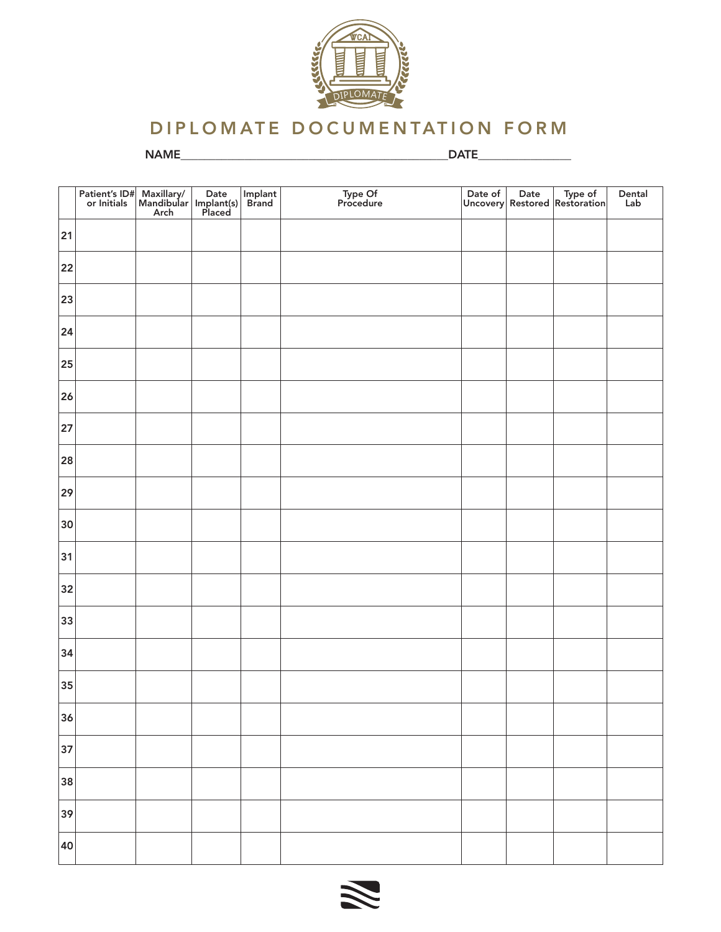

|    | Patient's ID#<br>or Initials | Maxillary/ Date Implant<br>Mandibular Implant(s) Brand<br>Arch Placed |  | Type Of<br>Procedure |  | Date of Date Type of<br>Uncovery Restored Restoration | Dental<br>Lab |
|----|------------------------------|-----------------------------------------------------------------------|--|----------------------|--|-------------------------------------------------------|---------------|
| 21 |                              |                                                                       |  |                      |  |                                                       |               |
| 22 |                              |                                                                       |  |                      |  |                                                       |               |
| 23 |                              |                                                                       |  |                      |  |                                                       |               |
| 24 |                              |                                                                       |  |                      |  |                                                       |               |
| 25 |                              |                                                                       |  |                      |  |                                                       |               |
| 26 |                              |                                                                       |  |                      |  |                                                       |               |
| 27 |                              |                                                                       |  |                      |  |                                                       |               |
| 28 |                              |                                                                       |  |                      |  |                                                       |               |
| 29 |                              |                                                                       |  |                      |  |                                                       |               |
| 30 |                              |                                                                       |  |                      |  |                                                       |               |
| 31 |                              |                                                                       |  |                      |  |                                                       |               |
| 32 |                              |                                                                       |  |                      |  |                                                       |               |
| 33 |                              |                                                                       |  |                      |  |                                                       |               |
| 34 |                              |                                                                       |  |                      |  |                                                       |               |
| 35 |                              |                                                                       |  |                      |  |                                                       |               |
| 36 |                              |                                                                       |  |                      |  |                                                       |               |
| 37 |                              |                                                                       |  |                      |  |                                                       |               |
| 38 |                              |                                                                       |  |                      |  |                                                       |               |
| 39 |                              |                                                                       |  |                      |  |                                                       |               |
| 40 |                              |                                                                       |  |                      |  |                                                       |               |

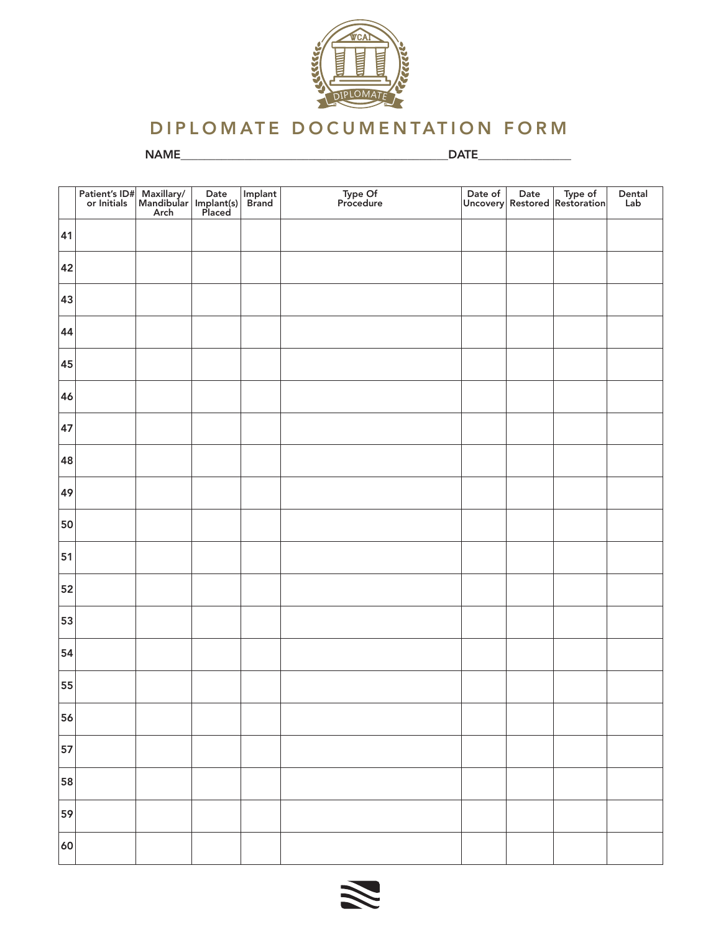

|    | Patient's ID#<br>or Initials | Maxillary/ Date Implant<br>Mandibular Implant(s) Brand<br>Arch Placed |  | Type Of<br>Procedure |  | Date of Date Type of<br>Uncovery Restored Restoration | Dental<br>Lab |
|----|------------------------------|-----------------------------------------------------------------------|--|----------------------|--|-------------------------------------------------------|---------------|
| 41 |                              |                                                                       |  |                      |  |                                                       |               |
| 42 |                              |                                                                       |  |                      |  |                                                       |               |
| 43 |                              |                                                                       |  |                      |  |                                                       |               |
| 44 |                              |                                                                       |  |                      |  |                                                       |               |
| 45 |                              |                                                                       |  |                      |  |                                                       |               |
| 46 |                              |                                                                       |  |                      |  |                                                       |               |
| 47 |                              |                                                                       |  |                      |  |                                                       |               |
| 48 |                              |                                                                       |  |                      |  |                                                       |               |
| 49 |                              |                                                                       |  |                      |  |                                                       |               |
| 50 |                              |                                                                       |  |                      |  |                                                       |               |
| 51 |                              |                                                                       |  |                      |  |                                                       |               |
| 52 |                              |                                                                       |  |                      |  |                                                       |               |
| 53 |                              |                                                                       |  |                      |  |                                                       |               |
| 54 |                              |                                                                       |  |                      |  |                                                       |               |
| 55 |                              |                                                                       |  |                      |  |                                                       |               |
| 56 |                              |                                                                       |  |                      |  |                                                       |               |
| 57 |                              |                                                                       |  |                      |  |                                                       |               |
| 58 |                              |                                                                       |  |                      |  |                                                       |               |
| 59 |                              |                                                                       |  |                      |  |                                                       |               |
| 60 |                              |                                                                       |  |                      |  |                                                       |               |

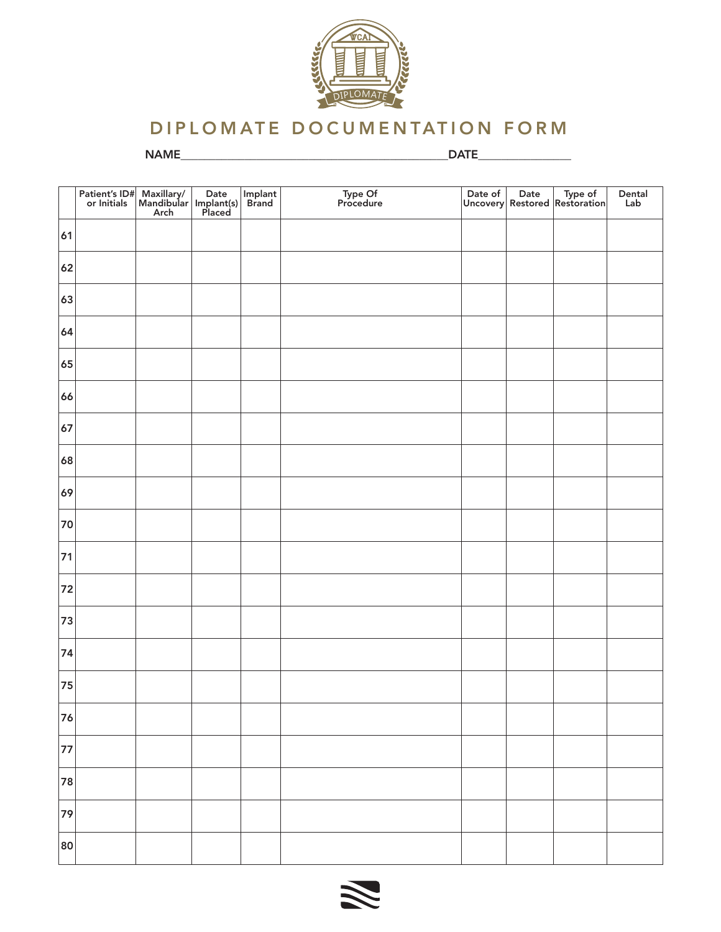

|    | Patient's ID#<br>or Initials | Maxillary/<br>Mandibular Implant(s)<br>Arch Placed | Implant<br>Brand | Type Of<br>Procedure |  | Date of Date Type of<br>Uncovery Restored Restoration | Dental<br>Lab |
|----|------------------------------|----------------------------------------------------|------------------|----------------------|--|-------------------------------------------------------|---------------|
| 61 |                              |                                                    |                  |                      |  |                                                       |               |
| 62 |                              |                                                    |                  |                      |  |                                                       |               |
| 63 |                              |                                                    |                  |                      |  |                                                       |               |
| 64 |                              |                                                    |                  |                      |  |                                                       |               |
| 65 |                              |                                                    |                  |                      |  |                                                       |               |
| 66 |                              |                                                    |                  |                      |  |                                                       |               |
| 67 |                              |                                                    |                  |                      |  |                                                       |               |
| 68 |                              |                                                    |                  |                      |  |                                                       |               |
| 69 |                              |                                                    |                  |                      |  |                                                       |               |
| 70 |                              |                                                    |                  |                      |  |                                                       |               |
| 71 |                              |                                                    |                  |                      |  |                                                       |               |
| 72 |                              |                                                    |                  |                      |  |                                                       |               |
| 73 |                              |                                                    |                  |                      |  |                                                       |               |
| 74 |                              |                                                    |                  |                      |  |                                                       |               |
| 75 |                              |                                                    |                  |                      |  |                                                       |               |
| 76 |                              |                                                    |                  |                      |  |                                                       |               |
| 77 |                              |                                                    |                  |                      |  |                                                       |               |
| 78 |                              |                                                    |                  |                      |  |                                                       |               |
| 79 |                              |                                                    |                  |                      |  |                                                       |               |
| 80 |                              |                                                    |                  |                      |  |                                                       |               |